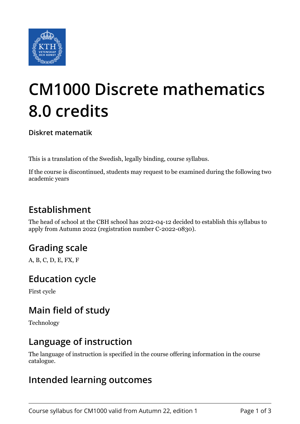

# **CM1000 Discrete mathematics 8.0 credits**

**Diskret matematik**

This is a translation of the Swedish, legally binding, course syllabus.

If the course is discontinued, students may request to be examined during the following two academic years

# **Establishment**

The head of school at the CBH school has 2022-04-12 decided to establish this syllabus to apply from Autumn 2022 (registration number C-2022-0830).

# **Grading scale**

A, B, C, D, E, FX, F

#### **Education cycle**

First cycle

# **Main field of study**

Technology

#### **Language of instruction**

The language of instruction is specified in the course offering information in the course catalogue.

#### **Intended learning outcomes**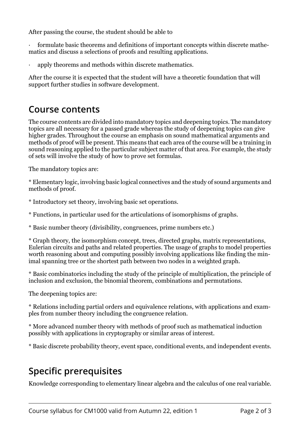After passing the course, the student should be able to

formulate basic theorems and definitions of important concepts within discrete mathematics and discuss a selections of proofs and resulting applications.

apply theorems and methods within discrete mathematics.

After the course it is expected that the student will have a theoretic foundation that will support further studies in software development.

#### **Course contents**

The course contents are divided into mandatory topics and deepening topics. The mandatory topics are all necessary for a passed grade whereas the study of deepening topics can give higher grades. Throughout the course an emphasis on sound mathematical arguments and methods of proof will be present. This means that each area of the course will be a training in sound reasoning applied to the particular subject matter of that area. For example, the study of sets will involve the study of how to prove set formulas.

The mandatory topics are:

\* Elementary logic, involving basic logical connectives and the study of sound arguments and methods of proof.

: Introductory set theory, in ol ing basic set operations.

: Functions, in particular used for the articulations of isomorphisms of graphs.

\* Basic number theory (divisibility, congruences, prime numbers etc.)

\* Graph theory, the isomorphism concept, trees, directed graphs, matrix representations, Eulerian circuits and paths and related properties. The usage of graphs to model properties worth reasoning about and computing possibly involving applications like finding the minimal spanning tree or the shortest path between two nodes in a weighted graph.

: Basic combinatorics including the study of the principle of multiplication, the principle of inclusion and exclusion, the binomial theorem, combinations and permutations.

The deepening topics are:

\* Relations including partial orders and equivalence relations, with applications and examples from number theory including the congruence relation.

: Rore ad anced number theory with methods of proof such as mathematical induction possibly with applications in cryptography or similar areas of interest.

\* Basic discrete probability theory, event space, conditional events, and independent events.

# **Specific prerequisites**

Knowledge corresponding to elementary linear algebra and the calculus of one real variable.